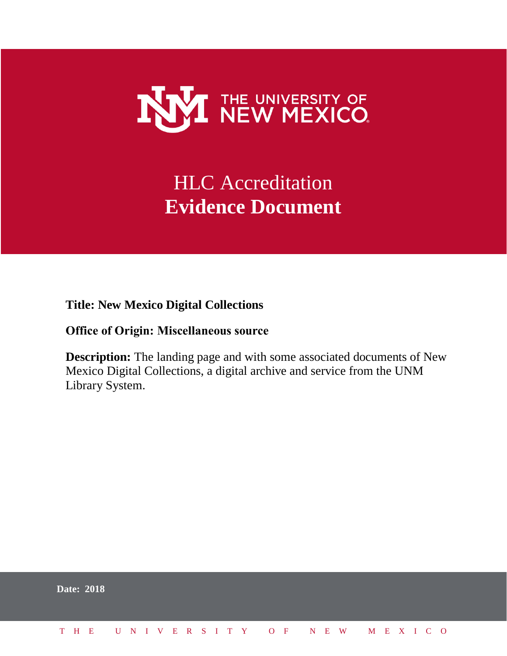

# HLC Accreditation **Evidence Document**

**Title: New Mexico Digital Collections**

# **Office of Origin: Miscellaneous source**

**Description:** The landing page and with some associated documents of New Mexico Digital Collections, a digital archive and service from the UNM Library System.

|  | <b>Date: 2018</b>            |  |  |  |  |  |  |  |  |  |  |  |  |  |
|--|------------------------------|--|--|--|--|--|--|--|--|--|--|--|--|--|
|  | THE UNIVERSITY OF NEW MEXICO |  |  |  |  |  |  |  |  |  |  |  |  |  |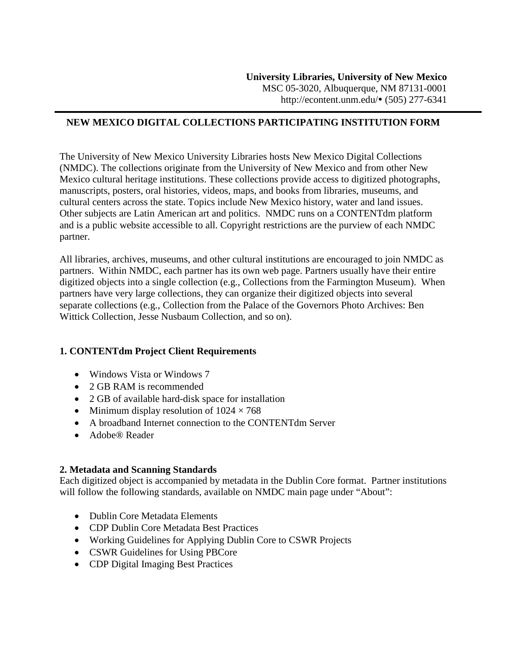# **NEW MEXICO DIGITAL COLLECTIONS PARTICIPATING INSTITUTION FORM**

The University of New Mexico University Libraries hosts New Mexico Digital Collections (NMDC). The collections originate from the University of New Mexico and from other New Mexico cultural heritage institutions. These collections provide access to digitized photographs, manuscripts, posters, oral histories, videos, maps, and books from libraries, museums, and cultural centers across the state. Topics include New Mexico history, water and land issues. Other subjects are Latin American art and politics. NMDC runs on a CONTENTdm platform and is a public website accessible to all. Copyright restrictions are the purview of each NMDC partner.

All libraries, archives, museums, and other cultural institutions are encouraged to join NMDC as partners. Within NMDC, each partner has its own web page. Partners usually have their entire digitized objects into a single collection (e.g., Collections from the Farmington Museum). When partners have very large collections, they can organize their digitized objects into several separate collections (e.g., Collection from the Palace of the Governors Photo Archives: Ben Wittick Collection, Jesse Nusbaum Collection, and so on).

# **1. CONTENTdm Project Client Requirements**

- Windows Vista or Windows 7
- 2 GB RAM is recommended
- 2 GB of available hard-disk space for installation
- Minimum display resolution of  $1024 \times 768$
- A broadband Internet connection to the CONTENTdm Server
- Adobe® Reader

#### **2. Metadata and Scanning Standards**

Each digitized object is accompanied by metadata in the Dublin Core format. Partner institutions will follow the following standards, available on NMDC main page under "About":

- Dublin Core Metadata Elements
- [CDP Dublin Core Metadata Best Practices](http://econtent.unm.edu/about/DC_Best_Practices.pdf)
- [Working Guidelines for Applying Dublin Core to CSWR Projects](http://econtent.unm.edu/about/Working_guidelines.doc)
- [CSWR Guidelines for Using PBCore](http://econtent.unm.edu/about/PBCore.pdf)
- [CDP Digital Imaging Best Practices](http://econtent.unm.edu/about/BCR_CDP_Digital_Imaging_Best_Practics_June_2008.pdf)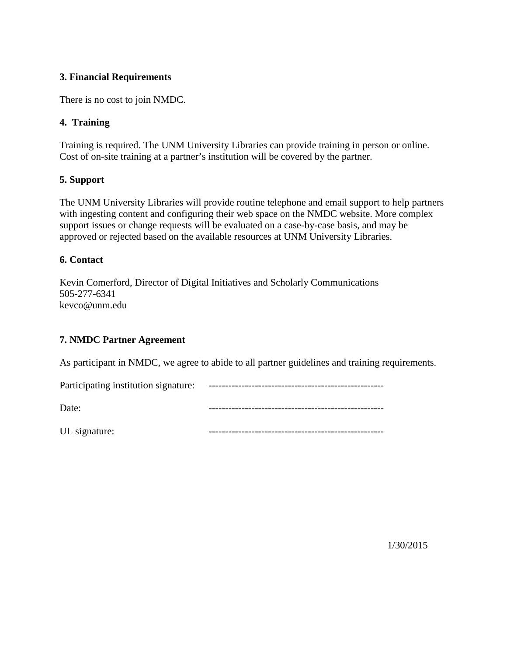# **3. Financial Requirements**

There is no cost to join NMDC.

## **4. Training**

Training is required. The UNM University Libraries can provide training in person or online. Cost of on-site training at a partner's institution will be covered by the partner.

## **5. Support**

The UNM University Libraries will provide routine telephone and email support to help partners with ingesting content and configuring their web space on the NMDC website. More complex support issues or change requests will be evaluated on a case-by-case basis, and may be approved or rejected based on the available resources at UNM University Libraries.

## **6. Contact**

Kevin Comerford, Director of Digital Initiatives and Scholarly Communications 505-277-6341 kevco@unm.edu

# **7. NMDC Partner Agreement**

As participant in NMDC, we agree to abide to all partner guidelines and training requirements.

| Participating institution signature: |  |
|--------------------------------------|--|
| Date:                                |  |
| UL signature:                        |  |

1/30/2015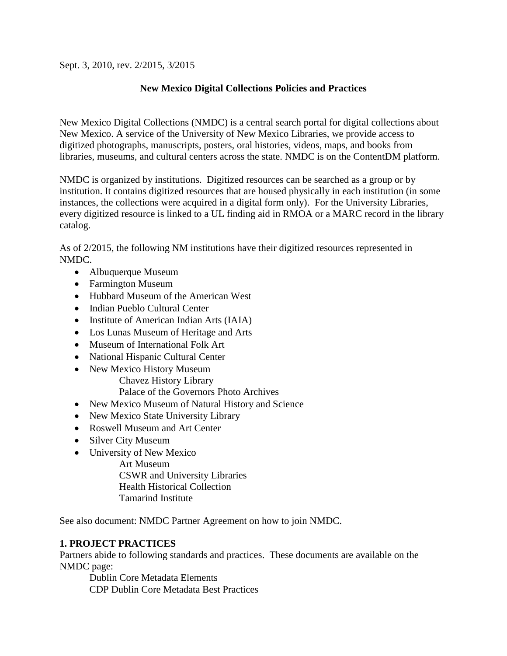Sept. 3, 2010, rev. 2/2015, 3/2015

# **New Mexico Digital Collections Policies and Practices**

New Mexico Digital Collections (NMDC) is a central search portal for digital collections about New Mexico. A service of the University of New Mexico Libraries, we provide access to digitized photographs, manuscripts, posters, oral histories, videos, maps, and books from libraries, museums, and cultural centers across the state. NMDC is on the ContentDM platform.

NMDC is organized by institutions. Digitized resources can be searched as a group or by institution. It contains digitized resources that are housed physically in each institution (in some instances, the collections were acquired in a digital form only). For the University Libraries, every digitized resource is linked to a UL finding aid in RMOA or a MARC record in the library catalog.

As of 2/2015, the following NM institutions have their digitized resources represented in NMDC.

- [Albuquerque Museum](http://econtent.unm.edu/cdm/albmus)
- [Farmington](http://econtent.unm.edu/cdm/farmus) Museum
- [Hubbard Museum of the American West](http://econtent.unm.edu/cdm/hubmusamewes)
- [Indian Pueblo Cultural Center](http://econtent.unm.edu/cdm/indpueculcen)
- [Institute of American Indian Arts \(IAIA\)](http://econtent.unm.edu/cdm/insameindart)
- [Los Lunas Museum of Heritage and Arts](http://econtent.unm.edu/cdm/loslunmusherart)
- [Museum of International Folk Art](http://econtent.unm.edu/cdm/musintfolart)
- [National Hispanic Cultural Center](http://econtent.unm.edu/cdm/nathisculcen)
- New Mexico History Museum [Chavez History Library](http://econtent.unm.edu/cdm/chahislib) [Palace of the Governors Photo Archives](http://econtent.unm.edu/cdm/phoarc)
- [New Mexico Museum of Natural History and Science](http://econtent.unm.edu/cdm/newmexmusnathis)
- [New Mexico State University Library](http://econtent.unm.edu/cdm/newmexstaunilib)
- [Roswell Museum and Art Center](http://econtent.unm.edu/cdm/rosmusartcen)
- [Silver City Museum](http://econtent.unm.edu/cdm/silcitmus)
- University of New Mexico
	- [Art Museum](http://econtent.unm.edu/cdm/artmus)
	- [CSWR and University Libraries](http://econtent.unm.edu/cdm/unilib) [Health Historical Collection](http://econtent.unm.edu/cdm/hhcvis)
	- [Tamarind Institute](http://econtent.unm.edu/cdm/tamins)

See also document: NMDC Partner Agreement on how to join NMDC.

# **1. PROJECT PRACTICES**

Partners abide to following standards and practices. These documents are available on the NMDC page:

[Dublin Core Metadata Elements](http://dublincore.org/documents/dces/) [CDP Dublin Core Metadata Best Practices](http://econtent.unm.edu/about/DC_Best_Practices.pdf)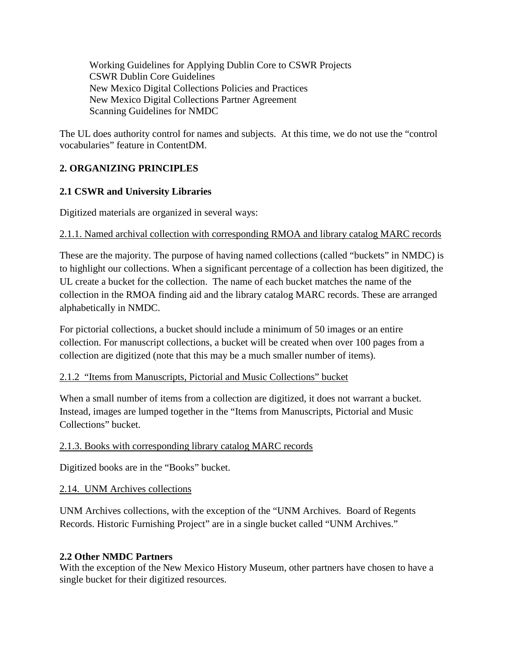[Working Guidelines for Applying Dublin Core to CSWR Projects](http://econtent.unm.edu/about/Working_guidelines.doc) [CSWR Dublin](http://econtent.unm.edu/about/PBCore.pdf) Core Guidelines [New](http://econtent.unm.edu/about/BCR_CDP_Digital_Imaging_Best_Practics_June_2008.pdf) Mexico Digital Collections Policies and Practices [New](http://econtent.unm.edu/about/BCR_CDP_Digital_Imaging_Best_Practics_June_2008.pdf) Mexico Digital Collections Partner Agreement Scanning Guidelines for NMDC

The UL does authority control for names and subjects. At this time, we do not use the "control vocabularies" feature in ContentDM.

# **2. ORGANIZING PRINCIPLES**

# **2.1 CSWR and University Libraries**

Digitized materials are organized in several ways:

# 2.1.1. Named archival collection with corresponding RMOA and library catalog MARC records

These are the majority. The purpose of having named collections (called "buckets" in NMDC) is to highlight our collections. When a significant percentage of a collection has been digitized, the UL create a bucket for the collection. The name of each bucket matches the name of the collection in the RMOA finding aid and the library catalog MARC records. These are arranged alphabetically in NMDC.

For pictorial collections, a bucket should include a minimum of 50 images or an entire collection. For manuscript collections, a bucket will be created when over 100 pages from a collection are digitized (note that this may be a much smaller number of items).

# 2.1.2 "Items from Manuscripts, Pictorial and Music Collections" bucket

When a small number of items from a collection are digitized, it does not warrant a bucket. Instead, images are lumped together in the "Items from Manuscripts, Pictorial and Music Collections" bucket.

# 2.1.3. Books with corresponding library catalog MARC records

Digitized books are in the "Books" bucket.

# 2.14. UNM Archives collections

UNM Archives collections, with the exception of the "UNM Archives. Board of Regents Records. Historic Furnishing Project" are in a single bucket called "UNM Archives."

# **2.2 Other NMDC Partners**

With the exception of the New Mexico History Museum, other partners have chosen to have a single bucket for their digitized resources.